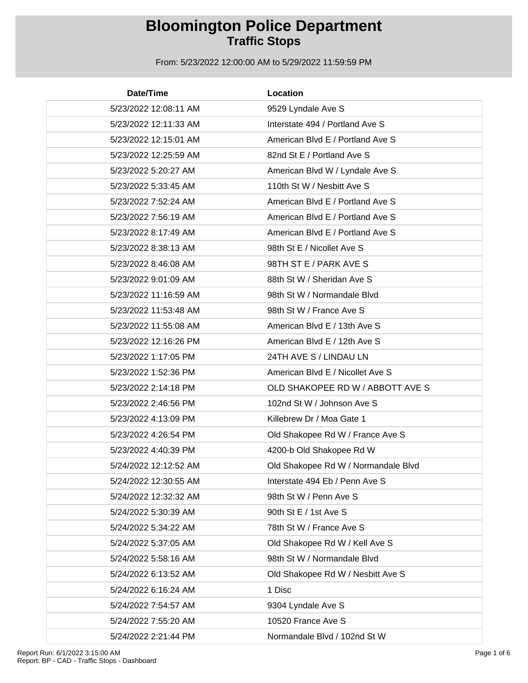| Date/Time             | Location                            |
|-----------------------|-------------------------------------|
| 5/23/2022 12:08:11 AM | 9529 Lyndale Ave S                  |
| 5/23/2022 12:11:33 AM | Interstate 494 / Portland Ave S     |
| 5/23/2022 12:15:01 AM | American Blvd E / Portland Ave S    |
| 5/23/2022 12:25:59 AM | 82nd St E / Portland Ave S          |
| 5/23/2022 5:20:27 AM  | American Blvd W / Lyndale Ave S     |
| 5/23/2022 5:33:45 AM  | 110th St W / Nesbitt Ave S          |
| 5/23/2022 7:52:24 AM  | American Blvd E / Portland Ave S    |
| 5/23/2022 7:56:19 AM  | American Blvd E / Portland Ave S    |
| 5/23/2022 8:17:49 AM  | American Blvd E / Portland Ave S    |
| 5/23/2022 8:38:13 AM  | 98th St E / Nicollet Ave S          |
| 5/23/2022 8:46:08 AM  | 98TH ST E / PARK AVE S              |
| 5/23/2022 9:01:09 AM  | 88th St W / Sheridan Ave S          |
| 5/23/2022 11:16:59 AM | 98th St W / Normandale Blvd         |
| 5/23/2022 11:53:48 AM | 98th St W / France Ave S            |
| 5/23/2022 11:55:08 AM | American Blvd E / 13th Ave S        |
| 5/23/2022 12:16:26 PM | American Blvd E / 12th Ave S        |
| 5/23/2022 1:17:05 PM  | 24TH AVE S / LINDAU LN              |
| 5/23/2022 1:52:36 PM  | American Blvd E / Nicollet Ave S    |
| 5/23/2022 2:14:18 PM  | OLD SHAKOPEE RD W / ABBOTT AVE S    |
| 5/23/2022 2:46:56 PM  | 102nd St W / Johnson Ave S          |
| 5/23/2022 4:13:09 PM  | Killebrew Dr / Moa Gate 1           |
| 5/23/2022 4:26:54 PM  | Old Shakopee Rd W / France Ave S    |
| 5/23/2022 4:40:39 PM  | 4200-b Old Shakopee Rd W            |
| 5/24/2022 12:12:52 AM | Old Shakopee Rd W / Normandale Blvd |
| 5/24/2022 12:30:55 AM | Interstate 494 Eb / Penn Ave S      |
| 5/24/2022 12:32:32 AM | 98th St W / Penn Ave S              |
| 5/24/2022 5:30:39 AM  | 90th St E / 1st Ave S               |
| 5/24/2022 5:34:22 AM  | 78th St W / France Ave S            |
| 5/24/2022 5:37:05 AM  | Old Shakopee Rd W / Kell Ave S      |
| 5/24/2022 5:58:16 AM  | 98th St W / Normandale Blvd         |
| 5/24/2022 6:13:52 AM  | Old Shakopee Rd W / Nesbitt Ave S   |
| 5/24/2022 6:16:24 AM  | 1 Disc                              |
| 5/24/2022 7:54:57 AM  | 9304 Lyndale Ave S                  |
| 5/24/2022 7:55:20 AM  | 10520 France Ave S                  |
| 5/24/2022 2:21:44 PM  | Normandale Blvd / 102nd St W        |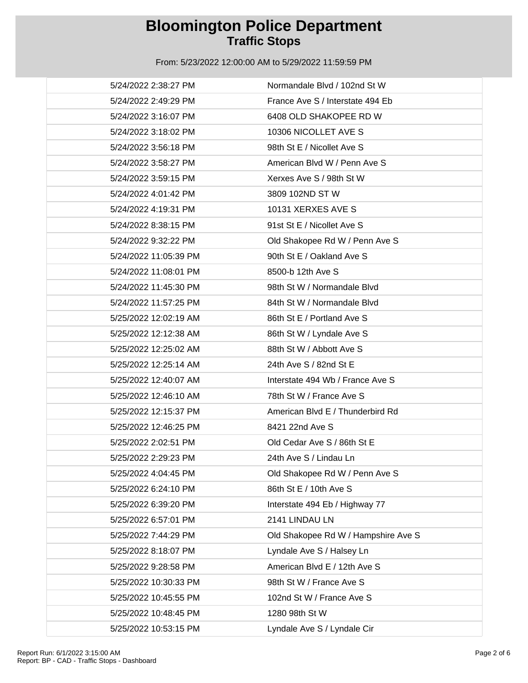| 5/24/2022 2:38:27 PM  | Normandale Blvd / 102nd St W        |
|-----------------------|-------------------------------------|
| 5/24/2022 2:49:29 PM  | France Ave S / Interstate 494 Eb    |
| 5/24/2022 3:16:07 PM  | 6408 OLD SHAKOPEE RD W              |
| 5/24/2022 3:18:02 PM  | 10306 NICOLLET AVE S                |
| 5/24/2022 3:56:18 PM  | 98th St E / Nicollet Ave S          |
| 5/24/2022 3:58:27 PM  | American Blvd W / Penn Ave S        |
| 5/24/2022 3:59:15 PM  | Xerxes Ave S / 98th St W            |
| 5/24/2022 4:01:42 PM  | 3809 102ND ST W                     |
| 5/24/2022 4:19:31 PM  | 10131 XERXES AVE S                  |
| 5/24/2022 8:38:15 PM  | 91st St E / Nicollet Ave S          |
| 5/24/2022 9:32:22 PM  | Old Shakopee Rd W / Penn Ave S      |
| 5/24/2022 11:05:39 PM | 90th St E / Oakland Ave S           |
| 5/24/2022 11:08:01 PM | 8500-b 12th Ave S                   |
| 5/24/2022 11:45:30 PM | 98th St W / Normandale Blvd         |
| 5/24/2022 11:57:25 PM | 84th St W / Normandale Blvd         |
| 5/25/2022 12:02:19 AM | 86th St E / Portland Ave S          |
| 5/25/2022 12:12:38 AM | 86th St W / Lyndale Ave S           |
| 5/25/2022 12:25:02 AM | 88th St W / Abbott Ave S            |
| 5/25/2022 12:25:14 AM | 24th Ave S / 82nd St E              |
| 5/25/2022 12:40:07 AM | Interstate 494 Wb / France Ave S    |
| 5/25/2022 12:46:10 AM | 78th St W / France Ave S            |
| 5/25/2022 12:15:37 PM | American Blvd E / Thunderbird Rd    |
| 5/25/2022 12:46:25 PM | 8421 22nd Ave S                     |
| 5/25/2022 2:02:51 PM  | Old Cedar Ave S / 86th St E         |
| 5/25/2022 2:29:23 PM  | 24th Ave S / Lindau Ln              |
| 5/25/2022 4:04:45 PM  | Old Shakopee Rd W / Penn Ave S      |
| 5/25/2022 6:24:10 PM  | 86th St E / 10th Ave S              |
| 5/25/2022 6:39:20 PM  | Interstate 494 Eb / Highway 77      |
| 5/25/2022 6:57:01 PM  | 2141 LINDAU LN                      |
| 5/25/2022 7:44:29 PM  | Old Shakopee Rd W / Hampshire Ave S |
| 5/25/2022 8:18:07 PM  | Lyndale Ave S / Halsey Ln           |
| 5/25/2022 9:28:58 PM  | American Blvd E / 12th Ave S        |
| 5/25/2022 10:30:33 PM | 98th St W / France Ave S            |
| 5/25/2022 10:45:55 PM | 102nd St W / France Ave S           |
| 5/25/2022 10:48:45 PM | 1280 98th St W                      |
| 5/25/2022 10:53:15 PM | Lyndale Ave S / Lyndale Cir         |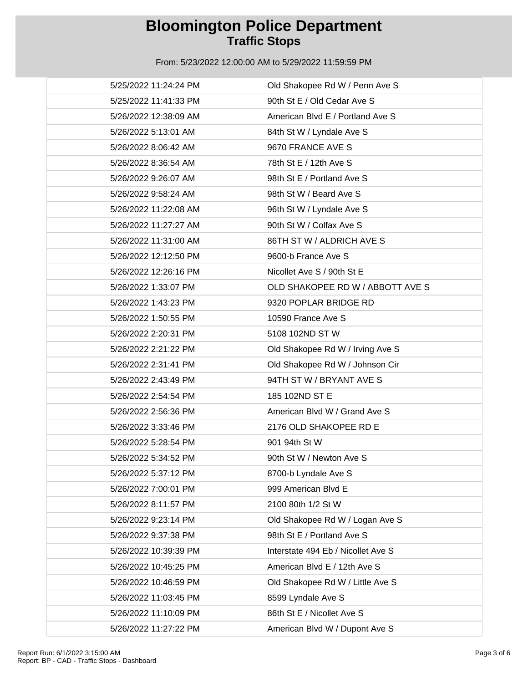| 5/25/2022 11:24:24 PM | Old Shakopee Rd W / Penn Ave S     |
|-----------------------|------------------------------------|
| 5/25/2022 11:41:33 PM | 90th St E / Old Cedar Ave S        |
| 5/26/2022 12:38:09 AM | American Blvd E / Portland Ave S   |
| 5/26/2022 5:13:01 AM  | 84th St W / Lyndale Ave S          |
| 5/26/2022 8:06:42 AM  | 9670 FRANCE AVE S                  |
| 5/26/2022 8:36:54 AM  | 78th St E / 12th Ave S             |
| 5/26/2022 9:26:07 AM  | 98th St E / Portland Ave S         |
| 5/26/2022 9:58:24 AM  | 98th St W / Beard Ave S            |
| 5/26/2022 11:22:08 AM | 96th St W / Lyndale Ave S          |
| 5/26/2022 11:27:27 AM | 90th St W / Colfax Ave S           |
| 5/26/2022 11:31:00 AM | 86TH ST W / ALDRICH AVE S          |
| 5/26/2022 12:12:50 PM | 9600-b France Ave S                |
| 5/26/2022 12:26:16 PM | Nicollet Ave S / 90th St E         |
| 5/26/2022 1:33:07 PM  | OLD SHAKOPEE RD W / ABBOTT AVE S   |
| 5/26/2022 1:43:23 PM  | 9320 POPLAR BRIDGE RD              |
| 5/26/2022 1:50:55 PM  | 10590 France Ave S                 |
| 5/26/2022 2:20:31 PM  | 5108 102ND ST W                    |
| 5/26/2022 2:21:22 PM  | Old Shakopee Rd W / Irving Ave S   |
| 5/26/2022 2:31:41 PM  | Old Shakopee Rd W / Johnson Cir    |
| 5/26/2022 2:43:49 PM  | 94TH ST W / BRYANT AVE S           |
| 5/26/2022 2:54:54 PM  | 185 102ND ST E                     |
| 5/26/2022 2:56:36 PM  | American Blvd W / Grand Ave S      |
| 5/26/2022 3:33:46 PM  | 2176 OLD SHAKOPEE RD E             |
| 5/26/2022 5:28:54 PM  | 901 94th St W                      |
| 5/26/2022 5:34:52 PM  | 90th St W / Newton Ave S           |
| 5/26/2022 5:37:12 PM  | 8700-b Lyndale Ave S               |
| 5/26/2022 7:00:01 PM  | 999 American Blvd E                |
| 5/26/2022 8:11:57 PM  | 2100 80th 1/2 St W                 |
| 5/26/2022 9:23:14 PM  | Old Shakopee Rd W / Logan Ave S    |
| 5/26/2022 9:37:38 PM  | 98th St E / Portland Ave S         |
| 5/26/2022 10:39:39 PM | Interstate 494 Eb / Nicollet Ave S |
| 5/26/2022 10:45:25 PM | American Blvd E / 12th Ave S       |
| 5/26/2022 10:46:59 PM | Old Shakopee Rd W / Little Ave S   |
| 5/26/2022 11:03:45 PM | 8599 Lyndale Ave S                 |
| 5/26/2022 11:10:09 PM | 86th St E / Nicollet Ave S         |
| 5/26/2022 11:27:22 PM | American Blvd W / Dupont Ave S     |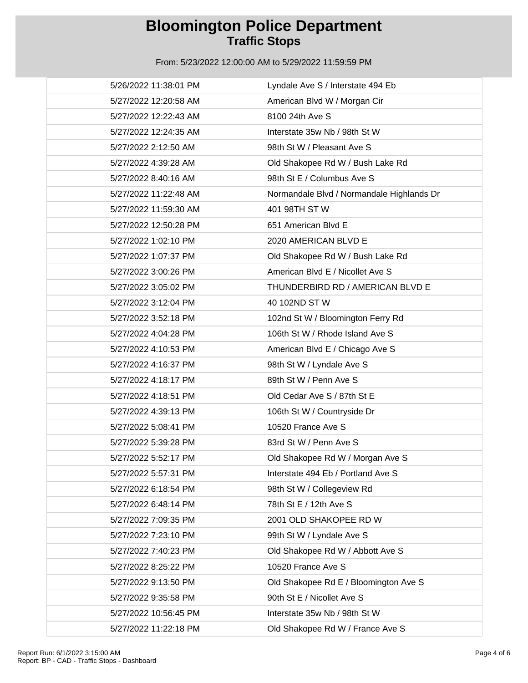| 5/26/2022 11:38:01 PM | Lyndale Ave S / Interstate 494 Eb         |
|-----------------------|-------------------------------------------|
| 5/27/2022 12:20:58 AM | American Blvd W / Morgan Cir              |
| 5/27/2022 12:22:43 AM | 8100 24th Ave S                           |
| 5/27/2022 12:24:35 AM | Interstate 35w Nb / 98th St W             |
| 5/27/2022 2:12:50 AM  | 98th St W / Pleasant Ave S                |
| 5/27/2022 4:39:28 AM  | Old Shakopee Rd W / Bush Lake Rd          |
| 5/27/2022 8:40:16 AM  | 98th St E / Columbus Ave S                |
| 5/27/2022 11:22:48 AM | Normandale Blvd / Normandale Highlands Dr |
| 5/27/2022 11:59:30 AM | 401 98TH ST W                             |
| 5/27/2022 12:50:28 PM | 651 American Blvd E                       |
| 5/27/2022 1:02:10 PM  | 2020 AMERICAN BLVD E                      |
| 5/27/2022 1:07:37 PM  | Old Shakopee Rd W / Bush Lake Rd          |
| 5/27/2022 3:00:26 PM  | American Blvd E / Nicollet Ave S          |
| 5/27/2022 3:05:02 PM  | THUNDERBIRD RD / AMERICAN BLVD E          |
| 5/27/2022 3:12:04 PM  | 40 102ND ST W                             |
| 5/27/2022 3:52:18 PM  | 102nd St W / Bloomington Ferry Rd         |
| 5/27/2022 4:04:28 PM  | 106th St W / Rhode Island Ave S           |
| 5/27/2022 4:10:53 PM  | American Blvd E / Chicago Ave S           |
| 5/27/2022 4:16:37 PM  | 98th St W / Lyndale Ave S                 |
| 5/27/2022 4:18:17 PM  | 89th St W / Penn Ave S                    |
| 5/27/2022 4:18:51 PM  | Old Cedar Ave S / 87th St E               |
| 5/27/2022 4:39:13 PM  | 106th St W / Countryside Dr               |
| 5/27/2022 5:08:41 PM  | 10520 France Ave S                        |
| 5/27/2022 5:39:28 PM  | 83rd St W / Penn Ave S                    |
| 5/27/2022 5:52:17 PM  | Old Shakopee Rd W / Morgan Ave S          |
| 5/27/2022 5:57:31 PM  | Interstate 494 Eb / Portland Ave S        |
| 5/27/2022 6:18:54 PM  | 98th St W / Collegeview Rd                |
| 5/27/2022 6:48:14 PM  | 78th St E / 12th Ave S                    |
| 5/27/2022 7:09:35 PM  | 2001 OLD SHAKOPEE RD W                    |
| 5/27/2022 7:23:10 PM  | 99th St W / Lyndale Ave S                 |
| 5/27/2022 7:40:23 PM  | Old Shakopee Rd W / Abbott Ave S          |
| 5/27/2022 8:25:22 PM  | 10520 France Ave S                        |
| 5/27/2022 9:13:50 PM  | Old Shakopee Rd E / Bloomington Ave S     |
| 5/27/2022 9:35:58 PM  | 90th St E / Nicollet Ave S                |
| 5/27/2022 10:56:45 PM | Interstate 35w Nb / 98th St W             |
| 5/27/2022 11:22:18 PM | Old Shakopee Rd W / France Ave S          |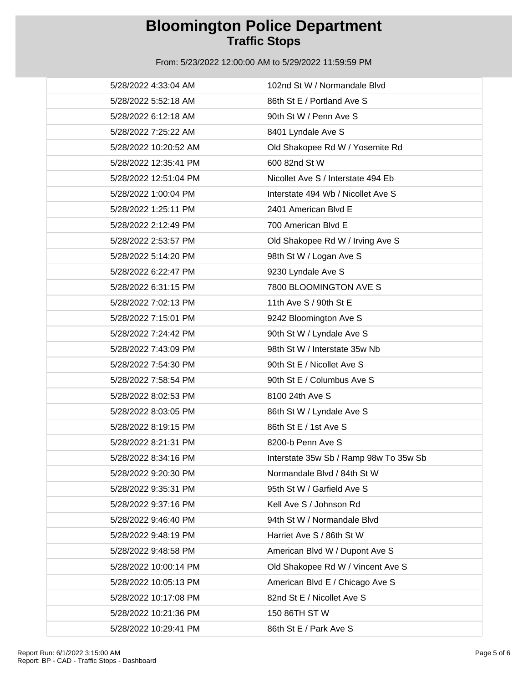| 5/28/2022 4:33:04 AM  | 102nd St W / Normandale Blvd           |
|-----------------------|----------------------------------------|
| 5/28/2022 5:52:18 AM  | 86th St E / Portland Ave S             |
| 5/28/2022 6:12:18 AM  | 90th St W / Penn Ave S                 |
| 5/28/2022 7:25:22 AM  | 8401 Lyndale Ave S                     |
| 5/28/2022 10:20:52 AM | Old Shakopee Rd W / Yosemite Rd        |
| 5/28/2022 12:35:41 PM | 600 82nd St W                          |
| 5/28/2022 12:51:04 PM | Nicollet Ave S / Interstate 494 Eb     |
| 5/28/2022 1:00:04 PM  | Interstate 494 Wb / Nicollet Ave S     |
| 5/28/2022 1:25:11 PM  | 2401 American Blvd E                   |
| 5/28/2022 2:12:49 PM  | 700 American Blvd E                    |
| 5/28/2022 2:53:57 PM  | Old Shakopee Rd W / Irving Ave S       |
| 5/28/2022 5:14:20 PM  | 98th St W / Logan Ave S                |
| 5/28/2022 6:22:47 PM  | 9230 Lyndale Ave S                     |
| 5/28/2022 6:31:15 PM  | 7800 BLOOMINGTON AVE S                 |
| 5/28/2022 7:02:13 PM  | 11th Ave S / 90th St E                 |
| 5/28/2022 7:15:01 PM  | 9242 Bloomington Ave S                 |
| 5/28/2022 7:24:42 PM  | 90th St W / Lyndale Ave S              |
| 5/28/2022 7:43:09 PM  | 98th St W / Interstate 35w Nb          |
| 5/28/2022 7:54:30 PM  | 90th St E / Nicollet Ave S             |
| 5/28/2022 7:58:54 PM  | 90th St E / Columbus Ave S             |
| 5/28/2022 8:02:53 PM  | 8100 24th Ave S                        |
| 5/28/2022 8:03:05 PM  | 86th St W / Lyndale Ave S              |
| 5/28/2022 8:19:15 PM  | 86th St E / 1st Ave S                  |
| 5/28/2022 8:21:31 PM  | 8200-b Penn Ave S                      |
| 5/28/2022 8:34:16 PM  | Interstate 35w Sb / Ramp 98w To 35w Sb |
| 5/28/2022 9:20:30 PM  | Normandale Blvd / 84th St W            |
| 5/28/2022 9:35:31 PM  | 95th St W / Garfield Ave S             |
| 5/28/2022 9:37:16 PM  | Kell Ave S / Johnson Rd                |
| 5/28/2022 9:46:40 PM  | 94th St W / Normandale Blvd            |
| 5/28/2022 9:48:19 PM  | Harriet Ave S / 86th St W              |
| 5/28/2022 9:48:58 PM  | American Blvd W / Dupont Ave S         |
| 5/28/2022 10:00:14 PM | Old Shakopee Rd W / Vincent Ave S      |
| 5/28/2022 10:05:13 PM | American Blvd E / Chicago Ave S        |
| 5/28/2022 10:17:08 PM | 82nd St E / Nicollet Ave S             |
| 5/28/2022 10:21:36 PM | 150 86TH ST W                          |
| 5/28/2022 10:29:41 PM | 86th St E / Park Ave S                 |